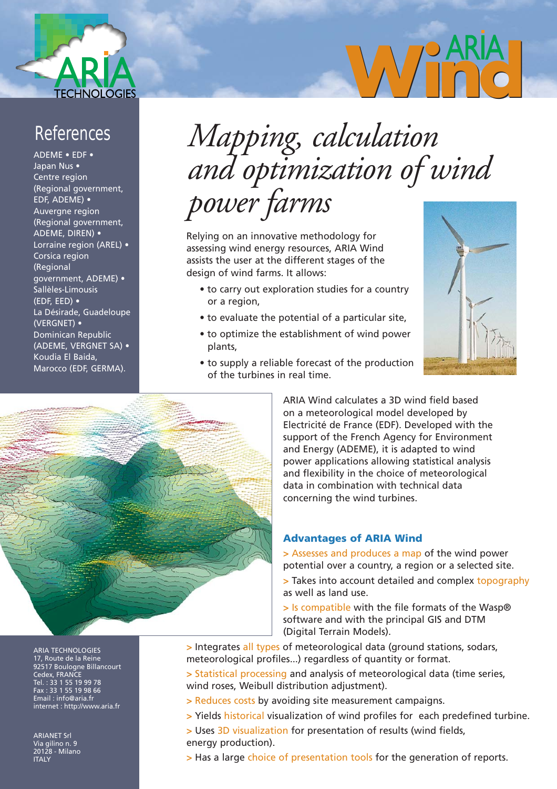

## References

ADEME • EDF • Japan Nus • Centre region (Regional government, EDF, ADEME) • Auvergne region (Regional government, ADEME, DIREN) • Lorraine region (AREL) • Corsica region (Regional government, ADEME) • Sallèles-Limousis (EDF, EED) • La Désirade, Guadeloupe (VERGNET) • Dominican Republic (ADEME, VERGNET SA) • Koudia El Baida, Marocco (EDF, GERMA).

# *Mapping, calculation and optimization of wind power farms*

Relying on an innovative methodology for assessing wind energy resources, ARIA Wind assists the user at the different stages of the design of wind farms. It allows:

- to carry out exploration studies for a country or a region,
- to evaluate the potential of a particular site,
- to optimize the establishment of wind power plants,
- to supply a reliable forecast of the production of the turbines in real time.



Wind



ARIA Wind calculates a 3D wind field based on a meteorological model developed by Electricité de France (EDF). Developed with the support of the French Agency for Environment and Energy (ADEME), it is adapted to wind power applications allowing statistical analysis and flexibility in the choice of meteorological data in combination with technical data concerning the wind turbines.

#### **Advantages of ARIA Wind**

**>** Assesses and produces a map of the wind power potential over a country, a region or a selected site.

**>** Takes into account detailed and complex topography as well as land use.

**>** Is compatible with the file formats of the Wasp® software and with the principal GIS and DTM (Digital Terrain Models).

**>** Integrates all types of meteorological data (ground stations, sodars, meteorological profiles...) regardless of quantity or format.

**>** Statistical processing and analysis of meteorological data (time series, wind roses, Weibull distribution adjustment).

- **>** Reduces costs by avoiding site measurement campaigns.
- **>** Yields historical visualization of wind profiles for each predefined turbine.

**>** Uses 3D visualization for presentation of results (wind fields, energy production).

**>** Has a large choice of presentation tools for the generation of reports.

ARIA TECHNOLOGIES 17, Route de la Reine 92517 Boulogne Billancourt Cedex, FRANCE Tel. : 33 1 55 19 99 78 Fax : 33 1 55 19 98 66 Email : info@aria.fr internet : http://www.aria.fr

ARIANET Srl <mark>Via gili</mark>no n<u>. 9</u> 20128 - Milano **ITALY**